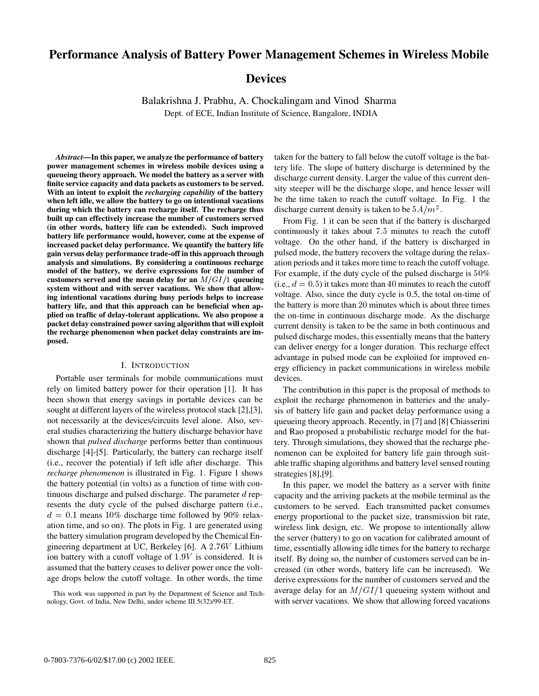# **Performance Analysis of Battery Power Management Schemes in Wireless Mobile**

# **Devices**

Balakrishna J. Prabhu, A. Chockalingam and Vinod Sharma Dept. of ECE, Indian Institute of Science, Bangalore, INDIA

*Abstract***—In this paper, we analyze the performance of battery power management schemes in wireless mobile devices using a queueing theory approach. We model the battery as a server with finite service capacity and data packets as customers to be served. With an intent to exploit the** *recharging capability* **of the battery when left idle, we allow the battery to go on intentional vacations during which the battery can recharge itself. The recharge thus built up can effectively increase the number of customers served (in other words, battery life can be extended). Such improved battery life performance would, however, come at the expense of increased packet delay performance. We quantify the battery life gain versus delay performance trade-off in this approach through analysis and simulations. By considering a continuous recharge model of the battery, we derive expressions for the number of** customers served and the mean delay for an  $M/GI/1$  queueing **system without and with server vacations. We show that allowing intentional vacations during busy periods helps to increase battery life, and that this approach can be beneficial when applied on traffic of delay-tolerant applications. We also propose a packet delay constrained power saving algorithm that will exploit the recharge phenomenon when packet delay constraints are imposed.**

## I. INTRODUCTION

Portable user terminals for mobile communications must rely on limited battery power for their operation [1]. It has been shown that energy savings in portable devices can be sought at different layers of the wireless protocol stack [2],[3], not necessarily at the devices/circuits level alone. Also, several studies characterizing the battery discharge behavior have shown that *pulsed discharge* performs better than continuous discharge [4]-[5]. Particularly, the battery can recharge itself (i.e., recover the potential) if left idle after discharge. This *recharge phenomenon* is illustrated in Fig. 1. Figure 1 shows the battery potential (in volts) as a function of time with continuous discharge and pulsed discharge. The parameter  $d$  represents the duty cycle of the pulsed discharge pattern (i.e.,  $d = 0.1$  means 10% discharge time followed by 90% relaxation time, and so on). The plots in Fig. 1 are generated using the battery simulation program developed by the Chemical Engineering department at UC, Berkeley [6]. A 2.76V Lithium ion battery with a cutoff voltage of  $1.9V$  is considered. It is assumed that the battery ceases to deliver power once the voltage drops below the cutoff voltage. In other words, the time

This work was supported in part by the Department of Science and Technology, Govt. of India, New Delhi, under scheme III.5(32)/99-ET.

taken for the battery to fall below the cutoff voltage is the battery life. The slope of battery discharge is determined by the discharge current density. Larger the value of this current density steeper will be the discharge slope, and hence lesser will be the time taken to reach the cutoff voltage. In Fig. 1 the discharge current density is taken to be  $5A/m^2$ .

From Fig. 1 it can be seen that if the battery is discharged continuously it takes about  $7.5$  minutes to reach the cutoff voltage. On the other hand, if the battery is discharged in pulsed mode, the battery recovers the voltage during the relaxation periods and it takes more time to reach the cutoff voltage. For example, if the duty cycle of the pulsed discharge is  $50\%$ (i.e.,  $d = 0.5$ ) it takes more than 40 minutes to reach the cutoff voltage. Also, since the duty cycle is 0.5, the total on-time of the battery is more than 20 minutes which is about three times the on-time in continuous discharge mode. As the discharge current density is taken to be the same in both continuous and pulsed discharge modes, this essentially means that the battery can deliver energy for a longer duration. This recharge effect advantage in pulsed mode can be exploited for improved energy efficiency in packet communications in wireless mobile devices.

The contribution in this paper is the proposal of methods to exploit the recharge phenomenon in batteries and the analysis of battery life gain and packet delay performance using a queueing theory approach. Recently, in [7] and [8] Chiasserini and Rao proposed a probabilistic recharge model for the battery. Through simulations, they showed that the recharge phenomenon can be exploited for battery life gain through suitable traffic shaping algorithms and battery level sensed routing strategies [8],[9].

In this paper, we model the battery as a server with finite capacity and the arriving packets at the mobile terminal as the customers to be served. Each transmitted packet consumes energy proportional to the packet size, transmission bit rate, wireless link design, etc. We propose to intentionally allow the server (battery) to go on vacation for calibrated amount of time, essentially allowing idle times for the battery to recharge itself. By doing so, the number of customers served can be increased (in other words, battery life can be increased). We derive expressions for the number of customers served and the average delay for an  $M/GI/1$  queueing system without and with server vacations. We show that allowing forced vacations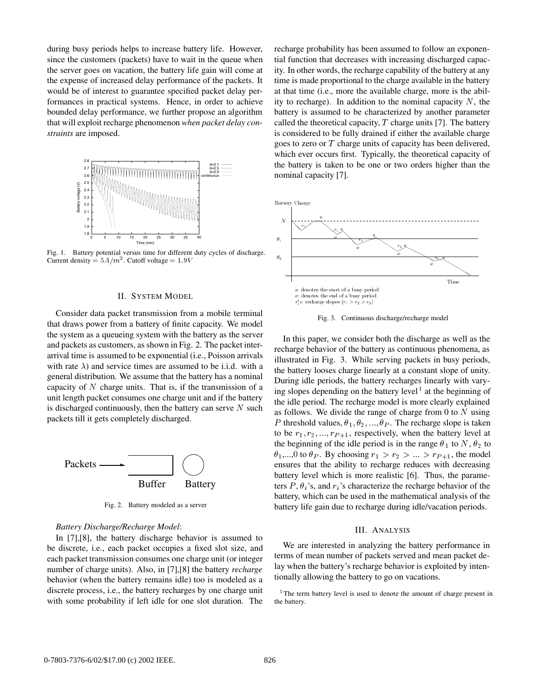during busy periods helps to increase battery life. However, since the customers (packets) have to wait in the queue when the server goes on vacation, the battery life gain will come at the expense of increased delay performance of the packets. It would be of interest to guarantee specified packet delay performances in practical systems. Hence, in order to achieve bounded delay performance, we further propose an algorithm that will exploit recharge phenomenon *when packet delay constraints* are imposed.



Fig. 1. Battery potential versus time for different duty cycles of discharge. Current density  $= 5A/m^2$ . Cutoff voltage  $= 1.9V$ 

#### II. SYSTEM MODEL

Consider data packet transmission from a mobile terminal that draws power from a battery of finite capacity. We model the system as a queueing system with the battery as the server and packets as customers, as shown in Fig. 2. The packet interarrival time is assumed to be exponential (i.e., Poisson arrivals with rate  $\lambda$ ) and service times are assumed to be i.i.d. with a general distribution. We assume that the battery has a nominal capacity of  $N$  charge units. That is, if the transmission of a unit length packet consumes one charge unit and if the battery is discharged continuously, then the battery can serve  $N$  such packets till it gets completely discharged.



Fig. 2. Battery modeled as a server

## *Battery Discharge/Recharge Model*:

In [7],[8], the battery discharge behavior is assumed to be discrete, i.e., each packet occupies a fixed slot size, and each packet transmission consumes one charge unit (or integer number of charge units). Also, in [7],[8] the battery *recharge* behavior (when the battery remains idle) too is modeled as a discrete process, i.e., the battery recharges by one charge unit with some probability if left idle for one slot duration. The

recharge probability has been assumed to follow an exponential function that decreases with increasing discharged capacity. In other words, the recharge capability of the battery at any time is made proportional to the charge available in the battery at that time (i.e., more the available charge, more is the ability to recharge). In addition to the nominal capacity  $N$ , the battery is assumed to be characterized by another parameter called the theoretical capacity,  $T$  charge units [7]. The battery is considered to be fully drained if either the available charge goes to zero or  $T$  charge units of capacity has been delivered, which ever occurs first. Typically, the theoretical capacity of the battery is taken to be one or two orders higher than the nominal capacity [7].



Fig. 3. Continuous discharge/recharge model

 $\begin{array}{c}\n\hline\n\end{array}\n\quad\n\begin{array}{c}\n\hline\n\end{array}\n\quad\n\begin{array}{c}\n\hline\n\end{array}\n\quad\n\begin{array}{c}\n\hline\n\end{array}\n\quad\n\begin{array}{c}\n\hline\n\end{array}\n\quad\n\begin{array}{c}\n\hline\n\end{array}\n\quad\n\begin{array}{c}\n\hline\n\end{array}\n\quad\n\begin{array}{c}\n\hline\n\end{array}\n\quad\n\begin{array}{c}\n\hline\n\end{array}\n\quad\n\begin{array}{c}\n\hline\n\end{array}\n\quad\n\begin{array}{c}\n\h$  $\theta_1$ ,..., 0 to  $\theta_P$ . By choosing  $r_1 > r_2 > ... > r_{P+1}$ , the model In this paper, we consider both the discharge as well as the recharge behavior of the battery as continuous phenomena, as illustrated in Fig. 3. While serving packets in busy periods, the battery looses charge linearly at a constant slope of unity. During idle periods, the battery recharges linearly with varying slopes depending on the battery level<sup>1</sup> at the beginning of the idle period. The recharge model is more clearly explained as follows. We divide the range of charge from 0 to  $N$  using P threshold values,  $\theta_1, \theta_2, ..., \theta_P$ . The recharge slope is taken to be  $r_1, r_2, \ldots, r_{P+1}$ , respectively, when the battery level at the beginning of the idle period is in the range  $\theta_1$  to N,  $\theta_2$  to battery level which is more realistic [6]. Thus, the parameters  $P$ ,  $\theta_i$ 's, and  $r_i$ 's characterize the recharge behavior of the battery, which can be used in the mathematical analysis of the battery life gain due to recharge during idle/vacation periods.

#### III. ANALYSIS

We are interested in analyzing the battery performance in terms of mean number of packets served and mean packet delay when the battery's recharge behavior is exploited by intentionally allowing the battery to go on vacations.

<sup>1</sup>The term battery level is used to denote the amount of charge present in the battery.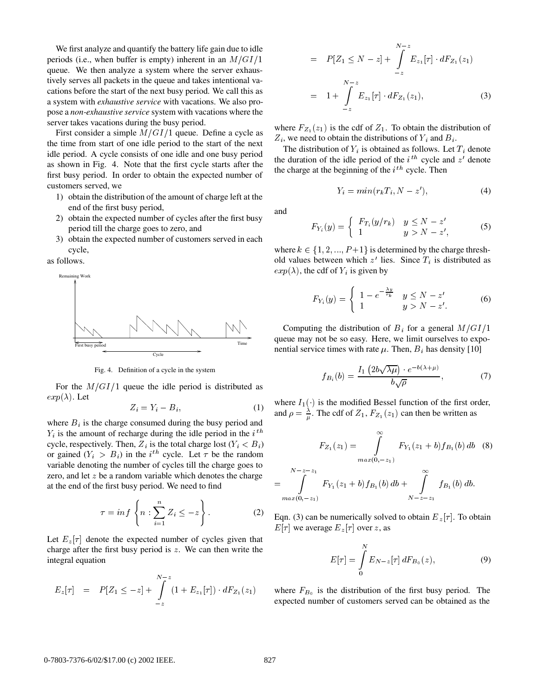We first analyze and quantify the battery life gain due to idle periods (i.e., when buffer is empty) inherent in an  $M/GI/1$   $=$ queue. We then analyze a system where the server exhaustively serves all packets in the queue and takes intentional vacations before the start of the next busy period. We call this as a system with *exhaustive service* with vacations. We also propose a *non-exhaustive service* system with vacations where the server takes vacations during the busy period.

First consider a simple  $M/GI/1$  queue. Define a cycle as the time from start of one idle period to the start of the next idle period. A cycle consists of one idle and one busy period as shown in Fig. 4. Note that the first cycle starts after the first busy period. In order to obtain the expected number of customers served, we

- 1) obtain the distribution of the amount of charge left at the end of the first busy period,
- 2) obtain the expected number of cycles after the first busy period till the charge goes to zero, and
- 3) obtain the expected number of customers served in each cycle,

as follows.



Fig. 4. Definition of a cycle in the system

For the  $M/GI/1$  queue the idle period is distributed as  $exp(\lambda)$ . Let

$$
Z_i = Y_i - B_i,\tag{1}
$$

where  $B_i$  is the charge consumed during the busy period and  $Y_i$  is the amount of recharge during the idle period in the  $i^{th}$ cycle, respectively. Then,  $Z_i$  is the total charge lost  $(Y_i < B_i)$ or gained  $(Y_i > B_i)$  in the *i*<sup>th</sup> cycle. Let  $\tau$  be the random variable denoting the number of cycles till the charge goes to zero, and let  $z$  be a random variable which denotes the charge at the end of the first busy period. We need to find

$$
\tau = \inf \left\{ n : \sum_{i=1}^{n} Z_i \leq -z \right\}.
$$
 (2)

Let  $E_z[\tau]$  denote the expected number of cycles given that charge after the first busy period is  $z$ . We can then write the integral equation

$$
E_z[\tau] = P[Z_1 \leq -z] + \int_{-z}^{N-z} (1 + E_{z_1}[\tau]) \cdot dF_{Z_1}(z_1)
$$

$$
= P[Z_1 \le N - z] + \int_{-z}^{N-z} E_{z_1}[\tau] \cdot dF_{Z_1}(z_1)
$$
  

$$
= 1 + \int_{-z}^{N-z} E_{z_1}[\tau] \cdot dF_{Z_1}(z_1), \qquad (3)
$$

where  $F_{Z_1}(z_1)$  is the cdf of  $Z_1$ . To obtain the distribution of  $Z_i$ , we need to obtain the distributions of  $Y_i$  and  $B_i$ .

The distribution of  $Y_i$  is obtained as follows. Let  $T_i$  denote the duration of the idle period of the  $i^{th}$  cycle and  $z'$  denote the charge at the beginning of the  $i<sup>th</sup>$  cycle. Then

$$
Y_i = min(r_k T_i, N - z'), \tag{4}
$$

and

$$
F_{Y_i}(y) = \begin{cases} F_{T_i}(y/r_k) & y \le N - z' \\ 1 & y > N - z', \end{cases}
$$
 (5)

where  $k \in \{1, 2, ..., P+1\}$  is determined by the charge threshold values between which  $z'$  lies. Since  $T_i$  is distributed as  $exp(\lambda)$ , the cdf of  $Y_i$  is given by

$$
F_{Y_i}(y) = \begin{cases} 1 - e^{-\frac{\lambda y}{r_k}} & y \le N - z' \\ 1 & y > N - z'. \end{cases}
$$
 (6)

Computing the distribution of  $B_i$  for a general  $M/GI/1$ queue may not be so easy. Here, we limit ourselves to exponential service times with rate  $\mu$ . Then,  $B_i$  has density [10]

$$
f_{B_i}(b) = \frac{I_1\left(2b\sqrt{\lambda\mu}\right) \cdot e^{-b(\lambda+\mu)}}{b\sqrt{\rho}},\tag{7}
$$

where  $I_1()$  is the modified Bessel function of the first order, and  $\rho = \frac{\lambda}{n}$ . The cdf of  $Z_1, F_{Z_1}(z_1)$  can then be written as

$$
F_{Z_1}(z_1) = \int_{max(0, -z_1)}^{\infty} F_{Y_1}(z_1 + b) f_{B_1}(b) db \quad (8)
$$
  
= 
$$
\int_{max(0, -z_1)}^{N-z-z_1} F_{Y_1}(z_1 + b) f_{B_1}(b) db + \int_{N-z-z_1}^{\infty} f_{B_1}(b) db.
$$

Eqn. (3) can be numerically solved to obtain  $E_z[\tau]$ . To obtain  $E[\tau]$  we average  $E_z[\tau]$  over z, as

$$
E[\tau] = \int_{0}^{N} E_{N-z}[\tau] dF_{B_0}(z), \tag{9}
$$

where  $F_{B_0}$  is the distribution of the first busy period. The expected number of customers served can be obtained as the

 $\overline{m}$ 

 $\overline{\phantom{0}}$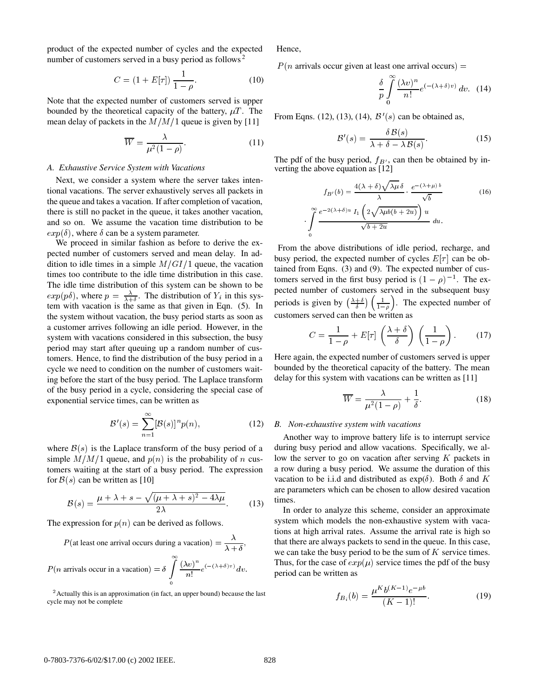product of the expected number of cycles and the expected number of customers served in a busy period as follows<sup>2</sup>

$$
C = (1 + E[\tau]) \frac{1}{1 - \rho}.
$$
 (10)

Note that the expected number of customers served is upper bounded by the theoretical capacity of the battery,  $\mu T$ . The mean delay of packets in the  $M/M/1$  queue is given by [11]

$$
\overline{W} = \frac{\lambda}{\mu^2 (1 - \rho)}.
$$
 (11)

## *A. Exhaustive Service System with Vacations*

Next, we consider a system where the server takes intentional vacations. The server exhaustively serves all packets in the queue and takes a vacation. If after completion of vacation, there is still no packet in the queue, it takes another vacation, and so on. We assume the vacation time distribution to be  $exp(\delta)$ , where  $\delta$  can be a system parameter.

We proceed in similar fashion as before to derive the expected number of customers served and mean delay. In addition to idle times in a simple  $M/GI/1$  queue, the vacation times too contribute to the idle time distribution in this case. The idle time distribution of this system can be shown to be  $exp(p\delta)$ , where  $p = \frac{\lambda}{\lambda + \delta}$ . The distribution of  $Y_i$  in this system with vacation is the same as that given in Eqn. (5). In the system without vacation, the busy period starts as soon as a customer arrives following an idle period. However, in the system with vacations considered in this subsection, the busy period may start after queuing up a random number of customers. Hence, to find the distribution of the busy period in a cycle we need to condition on the number of customers waiting before the start of the busy period. The Laplace transform of the busy period in a cycle, considering the special case of exponential service times, can be written as

$$
\mathcal{B}'(s) = \sum_{n=1}^{\infty} [\mathcal{B}(s)]^n p(n), \qquad (12)
$$

where  $\mathcal{B}(s)$  is the Laplace transform of the busy period of a simple  $M/M/1$  queue, and  $p(n)$  is the probability of n cus- lov tomers waiting at the start of a busy period. The expression for  $\mathcal{B}(s)$  can be written as [10]

$$
\mathcal{B}(s) = \frac{\mu + \lambda + s - \sqrt{(\mu + \lambda + s)^2 - 4\lambda\mu}}{2\lambda}.
$$
 (13)

The expression for  $p(n)$  can be derived as follows.

$$
P(\text{at least one arrival occurs during a vacation}) = \frac{\lambda}{\lambda + \delta},
$$
  

$$
P(n \text{ arrivals occur in a vacation}) = \delta \int_{0}^{\infty} \frac{(\lambda v)^n}{n!} e^{(-(\lambda + \delta)v)} dv.
$$

<sup>2</sup> Actually this is an approximation (in fact, an upper bound) because the last cycle may not be complete

Hence,

 $P(n \text{ arrivals occur given at least one arrival occurs}) =$ 

$$
\frac{\delta}{p} \int_{0}^{\infty} \frac{(\lambda v)^n}{n!} e^{(-(\lambda + \delta)v)} dv. \quad (14)
$$

From Eqns. (12), (13), (14),  $\mathcal{B}'(s)$  can be obtained as,

$$
\mathcal{B}'(s) = \frac{\delta \mathcal{B}(s)}{\lambda + \delta - \lambda \mathcal{B}(s)}.\tag{15}
$$

The pdf of the busy period,  $f_{B'}$ , can then be obtained by inverting the above equation as [12]

$$
f_{B'}(b) = \frac{4(\lambda + \delta)\sqrt{\lambda\mu} \delta}{\lambda} \cdot \frac{e^{-(\lambda + \mu) b}}{\sqrt{b}}
$$
(16)  

$$
\int_{0}^{\infty} \frac{e^{-2(\lambda + \delta)u} I_{1} \left(2\sqrt{\lambda\mu b(b + 2u)}\right) u}{\sqrt{b + 2u}} du.
$$

From the above distributions of idle period, recharge, and busy period, the expected number of cycles  $E[\tau]$  can be obtained from Eqns. (3) and (9). The expected number of customers served in the first busy period is  $(1 - \rho)^{-1}$ . The expected number of customers served in the subsequent busy periods is given by  $\left(\frac{\lambda+\delta}{\delta}\right)\left(\frac{1}{1-\rho}\right)$ . The expected number of customers served can then be written as

$$
C = \frac{1}{1 - \rho} + E[\tau] \left(\frac{\lambda + \delta}{\delta}\right) \left(\frac{1}{1 - \rho}\right). \tag{17}
$$

Here again, the expected number of customers served is upper bounded by the theoretical capacity of the battery. The mean delay for this system with vacations can be written as [11]

$$
\overline{W} = \frac{\lambda}{\mu^2 (1 - \rho)} + \frac{1}{\delta}.
$$
 (18)

### *B. Non-exhaustive system with vacations*

Another way to improve battery life is to interrupt service during busy period and allow vacations. Specifically, we allow the server to go on vacation after serving  $K$  packets in a row during a busy period. We assume the duration of this vacation to be i.i.d and distributed as  $exp(\delta)$ . Both  $\delta$  and K are parameters which can be chosen to allow desired vacation times.

 $A + v$  we can take the busy period to be the sum of K service times. In order to analyze this scheme, consider an approximate system which models the non-exhaustive system with vacations at high arrival rates. Assume the arrival rate is high so that there are always packets to send in the queue. In this case, Thus, for the case of  $exp(\mu)$  service times the pdf of the busy period can be written as

$$
f_{B_i}(b) = \frac{\mu^K b^{(K-1)} e^{-\mu b}}{(K-1)!}.
$$
 (19)

Î.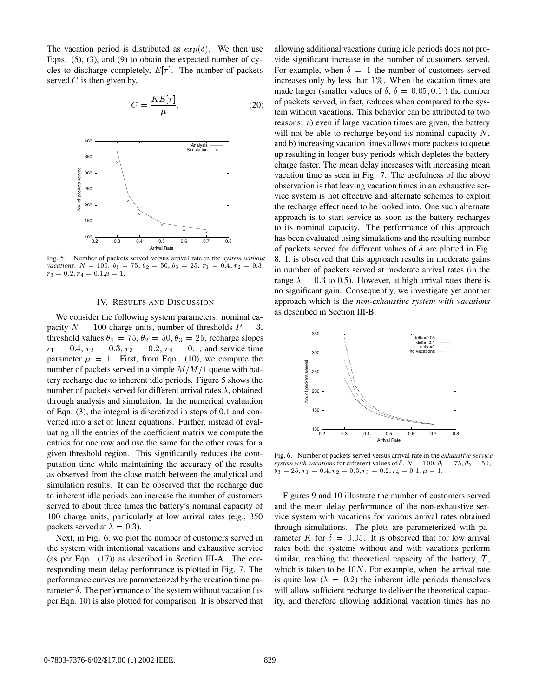The vacation period is distributed as  $exp(\delta)$ . We then use Eqns. (5), (3), and (9) to obtain the expected number of cycles to discharge completely,  $E[\tau]$ . The number of packets served  $C$  is then given by,

$$
C = \frac{KE[\tau]}{\mu}.
$$
 (20)



Fig. 5. Number of packets served versus arrival rate in the *system without vacations*.  $N = 100$ .  $\theta_1 = 75$ ,  $\theta_2 = 50$ ,  $\theta_3 = 25$ .  $r_1 = 0.4$ ,  $r_2 = 0.3$ ,  $r_3 = 0.2, r_4 = 0.1. \mu = 1.$ 

## IV. RESULTS AND DISCUSSION

We consider the following system parameters: nominal capacity  $N = 100$  charge units, number of thresholds  $P = 3$ , threshold values  $\theta_1 = 75, \theta_2 = 50, \theta_3 = 25$ , recharge slopes  $r_1 = 0.4, r_2 = 0.3, r_3 = 0.2, r_4 = 0.1,$  and service time parameter  $\mu = 1$ . First, from Eqn. (10), we compute the number of packets served in a simple  $M/M/1$  queue with battery recharge due to inherent idle periods. Figure 5 shows the number of packets served for different arrival rates  $\lambda$ , obtained through analysis and simulation. In the numerical evaluation of Eqn. (3), the integral is discretized in steps of 0.1 and converted into a set of linear equations. Further, instead of evaluating all the entries of the coefficient matrix we compute the entries for one row and use the same for the other rows for a given threshold region. This significantly reduces the computation time while maintaining the accuracy of the results as observed from the close match between the analytical and simulation results. It can be observed that the recharge due to inherent idle periods can increase the number of customers served to about three times the battery's nominal capacity of 100 charge units, particularly at low arrival rates (e.g., 350 packets served at  $\lambda = 0.3$ ).

Next, in Fig. 6, we plot the number of customers served in the system with intentional vacations and exhaustive service (as per Eqn. (17)) as described in Section III-A. The corresponding mean delay performance is plotted in Fig. 7. The performance curves are parameterized by the vacation time parameter  $\delta$ . The performance of the system without vacation (as per Eqn. 10) is also plotted for comparison. It is observed that

 $x^2 = 0.3$ , in number of packets served at moderate arrival rates (in the allowing additional vacations during idle periods does not provide significant increase in the number of customers served. For example, when  $\delta = 1$  the number of customers served increases only by less than  $1\%$ . When the vacation times are made larger (smaller values of  $\delta$ ,  $\delta = 0.05, 0.1$ ) the number of packets served, in fact, reduces when compared to the system without vacations. This behavior can be attributed to two reasons: a) even if large vacation times are given, the battery will not be able to recharge beyond its nominal capacity  $N$ , and b) increasing vacation times allows more packets to queue up resulting in longer busy periods which depletes the battery charge faster. The mean delay increases with increasing mean vacation time as seen in Fig. 7. The usefulness of the above observation is that leaving vacation times in an exhaustive service system is not effective and alternate schemes to exploit the recharge effect need to be looked into. One such alternate approach is to start service as soon as the battery recharges to its nominal capacity. The performance of this approach has been evaluated using simulations and the resulting number of packets served for different values of  $\delta$  are plotted in Fig. 8. It is observed that this approach results in moderate gains range  $\lambda = 0.3$  to 0.5). However, at high arrival rates there is no significant gain. Consequently, we investigate yet another approach which is the *non-exhaustive system with vacations* as described in Section III-B.



Fig. 6. Number of packets served versus arrival rate in the *exhaustive service system with vacations* for different values of  $\delta$ .  $N = 100$ .  $\theta_1 = 75$ ,  $\theta_2 = 50$ ,  $\theta_3 = 25. \ r_1 = 0.4, r_2 = 0.3, r_3 = 0.2, r_4 = 0.1. \ \mu = 1.$ 

Figures 9 and 10 illustrate the number of customers served and the mean delay performance of the non-exhaustive service system with vacations for various arrival rates obtained through simulations. The plots are parameterized with parameter K for  $\delta = 0.05$ . It is observed that for low arrival rates both the systems without and with vacations perform similar, reaching the theoretical capacity of the battery,  $T$ , which is taken to be  $10N$ . For example, when the arrival rate is quite low ( $\lambda = 0.2$ ) the inherent idle periods themselves will allow sufficient recharge to deliver the theoretical capacity, and therefore allowing additional vacation times has no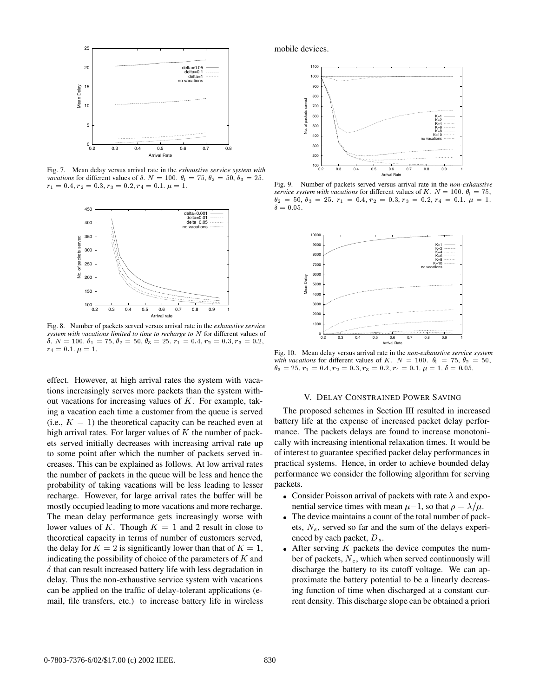

Fig. 7. Mean delay versus arrival rate in the *exhaustive service system with vacations* for different values of  $\delta$ .  $N = 100$ .  $\theta_1 = 75$ ,  $\theta_2 = 50$ ,  $\theta_3 = 25$ .  $r_1 = 0.4, r_2 = 0.3, r_3 = 0.2, r_4 = 0.1, \mu = 1.$ 



Fig. 8. Number of packets served versus arrival rate in the *exhaustive service* system with vacations limited to time to recharge to N for different values of  $\delta. N = 100. \; \theta_1 = 75, \theta_2 = 50, \theta_3 = 25. \; r_1 = 0.4, \, r_2 = 0.3, \, r_3 = 0.2,$  $r_4 = 0.1. \ \mu = 1.$ 

effect. However, at high arrival rates the system with vacations increasingly serves more packets than the system without vacations for increasing values of  $K$ . For example, taking a vacation each time a customer from the queue is served (i.e.,  $K = 1$ ) the theoretical capacity can be reached even at high arrival rates. For larger values of  $K$  the number of packets served initially decreases with increasing arrival rate up to some point after which the number of packets served increases. This can be explained as follows. At low arrival rates the number of packets in the queue will be less and hence the probability of taking vacations will be less leading to lesser recharge. However, for large arrival rates the buffer will be mostly occupied leading to more vacations and more recharge. The mean delay performance gets increasingly worse with lower values of K. Though  $K = 1$  and 2 result in close to theoretical capacity in terms of number of customers served, the delay for  $K = 2$  is significantly lower than that of  $K = 1$ , • After indicating the possibility of choice of the parameters of  $K$  and  $\delta$  that can result increased battery life with less degradation in delay. Thus the non-exhaustive service system with vacations can be applied on the traffic of delay-tolerant applications (email, file transfers, etc.) to increase battery life in wireless

mobile devices.



Fig. 9. Number of packets served versus arrival rate in the *non-exhaustive service system with vacations* for different values of  $K$ .  $N = 100$ .  $\theta_1 = 75$ ,  $\theta_2 = 50, \theta_3 = 25, r_1 = 0.4, r_2 = 0.3, r_3 = 0.2, r_4 = 0.1, \mu = 1.$  $\cup$   $\cup$   $\cup$   $\cup$   $\cdot$  $\delta = 0.05$ .



Fig. 10. Mean delay versus arrival rate in the *non-exhaustive service system* with vacations for different values of K,  $N = 100$ ,  $\theta_1 = 75$ ,  $\theta_2 = 50$ ,  $\theta_3 = 25. \ r_1 = 0.4, r_2 = 0.3, r_3 = 0.2, r_4 = 0.1. \ \mu = 1. \ \delta = 0.05.$ 

### V. DELAY CONSTRAINED POWER SAVING

The proposed schemes in Section III resulted in increased battery life at the expense of increased packet delay performance. The packets delays are found to increase monotonically with increasing intentional relaxation times. It would be of interest to guarantee specified packet delay performances in practical systems. Hence, in order to achieve bounded delay performance we consider the following algorithm for serving packets.

- Consider Poisson arrival of packets with rate  $\lambda$  and exponential service times with mean  $\mu-1$ , so that  $\rho = \lambda/\mu$ .
- The device maintains a count of the total number of packets,  $N_s$ , served so far and the sum of the delays experienced by each packet,  $D_s$ .
- After serving  $K$  packets the device computes the number of packets,  $N_c$ , which when served continuously will discharge the battery to its cutoff voltage. We can approximate the battery potential to be a linearly decreasing function of time when discharged at a constant current density. This discharge slope can be obtained a priori